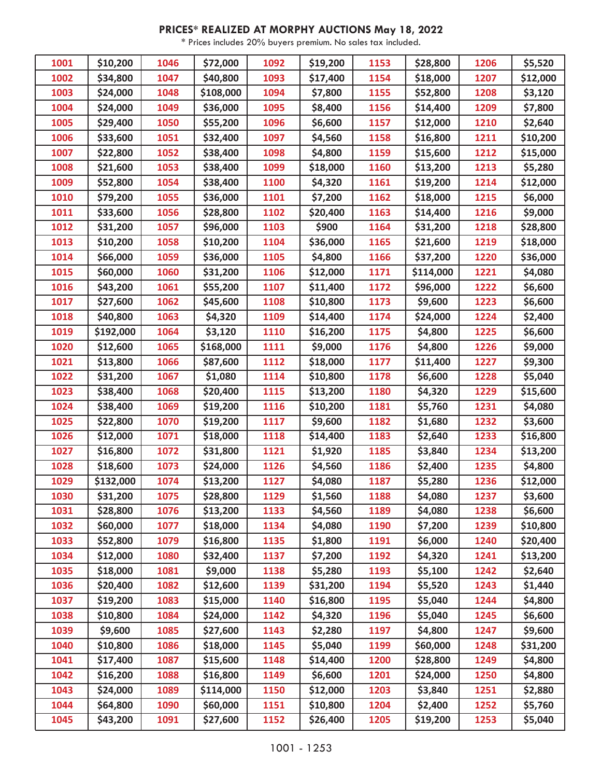## **PRICES\* REALIZED AT MORPHY AUCTIONS May 18, 2022**

\* Prices includes 20% buyers premium. No sales tax included.

| 1001 | \$10,200  | 1046 | \$72,000             | 1092 | \$19,200            | 1153 | \$28,800  | 1206 | \$5,520             |
|------|-----------|------|----------------------|------|---------------------|------|-----------|------|---------------------|
| 1002 | \$34,800  | 1047 | \$40,800             | 1093 | \$17,400            | 1154 | \$18,000  | 1207 | \$12,000            |
| 1003 | \$24,000  | 1048 | \$108,000            | 1094 | \$7,800             | 1155 | \$52,800  | 1208 | \$3,120             |
| 1004 | \$24,000  | 1049 | \$36,000             | 1095 | \$8,400             | 1156 | \$14,400  | 1209 | \$7,800             |
| 1005 | \$29,400  | 1050 | \$55,200             | 1096 | \$6,600             | 1157 | \$12,000  | 1210 | \$2,640             |
| 1006 | \$33,600  | 1051 | \$32,400             | 1097 | \$4,560             | 1158 | \$16,800  | 1211 | \$10,200            |
| 1007 | \$22,800  | 1052 | \$38,400             | 1098 | \$4,800             | 1159 | \$15,600  | 1212 | \$15,000            |
| 1008 | \$21,600  | 1053 | \$38,400             | 1099 | \$18,000            | 1160 | \$13,200  | 1213 | \$5,280             |
| 1009 | \$52,800  | 1054 | \$38,400             | 1100 | \$4,320             | 1161 | \$19,200  | 1214 | \$12,000            |
| 1010 | \$79,200  | 1055 | \$36,000             | 1101 | \$7,200             | 1162 | \$18,000  | 1215 | \$6,000             |
| 1011 | \$33,600  | 1056 | \$28,800             | 1102 | \$20,400            | 1163 | \$14,400  | 1216 | \$9,000             |
| 1012 | \$31,200  | 1057 | \$96,000             | 1103 | \$900               | 1164 | \$31,200  | 1218 | \$28,800            |
| 1013 | \$10,200  | 1058 | \$10,200             | 1104 | \$36,000            | 1165 | \$21,600  | 1219 | \$18,000            |
| 1014 | \$66,000  | 1059 | \$36,000             | 1105 | \$4,800             | 1166 | \$37,200  | 1220 | \$36,000            |
| 1015 | \$60,000  | 1060 | \$31,200             | 1106 | \$12,000            | 1171 | \$114,000 | 1221 | \$4,080             |
| 1016 | \$43,200  | 1061 | \$55,200             | 1107 | \$11,400            | 1172 | \$96,000  | 1222 | \$6,600             |
| 1017 | \$27,600  | 1062 | \$45,600             | 1108 | \$10,800            | 1173 | \$9,600   | 1223 | \$6,600             |
| 1018 | \$40,800  | 1063 | \$4,320              | 1109 | \$14,400            | 1174 | \$24,000  | 1224 | \$2,400             |
| 1019 | \$192,000 | 1064 | \$3,120              | 1110 | \$16,200            | 1175 | \$4,800   | 1225 | \$6,600             |
| 1020 | \$12,600  | 1065 | \$168,000            | 1111 | \$9,000             | 1176 | \$4,800   | 1226 | \$9,000             |
| 1021 | \$13,800  | 1066 | \$87,600             | 1112 | \$18,000            | 1177 | \$11,400  | 1227 | \$9,300             |
| 1022 | \$31,200  | 1067 | \$1,080              | 1114 | \$10,800            | 1178 | \$6,600   | 1228 | \$5,040             |
| 1023 | \$38,400  | 1068 | \$20,400             | 1115 | \$13,200            | 1180 | \$4,320   | 1229 | \$15,600            |
| 1024 | \$38,400  | 1069 | \$19,200             | 1116 | \$10,200            | 1181 | \$5,760   | 1231 | \$4,080             |
| 1025 | \$22,800  | 1070 | \$19,200             | 1117 | \$9,600             | 1182 | \$1,680   | 1232 | \$3,600             |
| 1026 | \$12,000  | 1071 | \$18,000             | 1118 | \$14,400            | 1183 | \$2,640   | 1233 | \$16,800            |
| 1027 | \$16,800  | 1072 | \$31,800             | 1121 | \$1,920             | 1185 | \$3,840   | 1234 | \$13,200            |
| 1028 | \$18,600  | 1073 | \$24,000             | 1126 | \$4,560             | 1186 | \$2,400   | 1235 | $\overline{$}4,800$ |
| 1029 | \$132,000 | 1074 | \$13,200             | 1127 | \$4,080             | 1187 | \$5,280   | 1236 | \$12,000            |
| 1030 | \$31,200  | 1075 | $\overline{$}28,800$ | 1129 | $\overline{$}1,560$ | 1188 | \$4,080   | 1237 | $\overline{$}3,600$ |
| 1031 | \$28,800  | 1076 | \$13,200             | 1133 | \$4,560             | 1189 | \$4,080   | 1238 | \$6,600             |
| 1032 | \$60,000  | 1077 | \$18,000             | 1134 | \$4,080             | 1190 | \$7,200   | 1239 | \$10,800            |
| 1033 | \$52,800  | 1079 | \$16,800             | 1135 | \$1,800             | 1191 | \$6,000   | 1240 | \$20,400            |
| 1034 | \$12,000  | 1080 | \$32,400             | 1137 | \$7,200             | 1192 | \$4,320   | 1241 | \$13,200            |
| 1035 | \$18,000  | 1081 | \$9,000              | 1138 | \$5,280             | 1193 | \$5,100   | 1242 | \$2,640             |
| 1036 | \$20,400  | 1082 | \$12,600             | 1139 | \$31,200            | 1194 | \$5,520   | 1243 | \$1,440             |
| 1037 | \$19,200  | 1083 | \$15,000             | 1140 | \$16,800            | 1195 | \$5,040   | 1244 | \$4,800             |
| 1038 | \$10,800  | 1084 | \$24,000             | 1142 | \$4,320             | 1196 | \$5,040   | 1245 | \$6,600             |
| 1039 | \$9,600   | 1085 | \$27,600             | 1143 | \$2,280             | 1197 | \$4,800   | 1247 | \$9,600             |
| 1040 | \$10,800  | 1086 | \$18,000             | 1145 | \$5,040             | 1199 | \$60,000  | 1248 | \$31,200            |
| 1041 | \$17,400  | 1087 | \$15,600             | 1148 | \$14,400            | 1200 | \$28,800  | 1249 | \$4,800             |
| 1042 | \$16,200  | 1088 | \$16,800             | 1149 | \$6,600             | 1201 | \$24,000  | 1250 | \$4,800             |
| 1043 | \$24,000  | 1089 | \$114,000            | 1150 | \$12,000            | 1203 | \$3,840   | 1251 | \$2,880             |
| 1044 | \$64,800  | 1090 | \$60,000             | 1151 | \$10,800            | 1204 | \$2,400   | 1252 | \$5,760             |
| 1045 | \$43,200  | 1091 | \$27,600             | 1152 | \$26,400            | 1205 | \$19,200  | 1253 | \$5,040             |